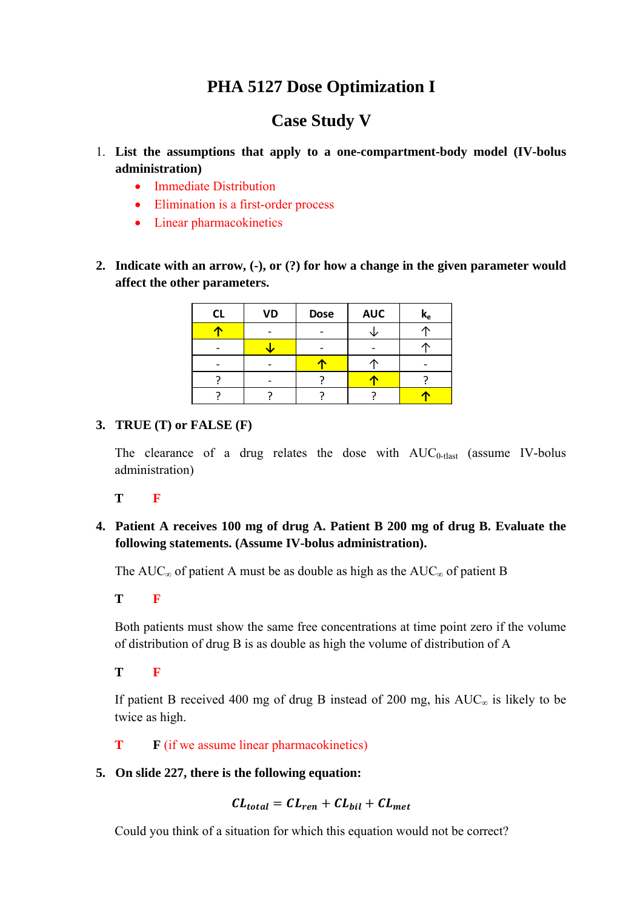# **PHA 5127 Dose Optimization I**

# **Case Study V**

- 1. **List the assumptions that apply to a one-compartment-body model (IV-bolus administration)**
	- Immediate Distribution
	- Elimination is a first-order process
	- Linear pharmacokinetics
- **2. Indicate with an arrow, (-), or (?) for how a change in the given parameter would affect the other parameters.**

| CL | <b>VD</b> | <b>Dose</b> | <b>AUC</b> | ለ <sub>e</sub> |
|----|-----------|-------------|------------|----------------|
|    |           |             |            |                |
|    |           |             |            |                |
|    |           |             |            |                |
|    |           |             |            |                |
|    |           |             |            |                |

## **3. TRUE (T) or FALSE (F)**

The clearance of a drug relates the dose with  $AUC_{0-tlast}$  (assume IV-bolus administration)

### **T F**

**4. Patient A receives 100 mg of drug A. Patient B 200 mg of drug B. Evaluate the following statements. (Assume IV-bolus administration).** 

The AUC<sub>∞</sub> of patient A must be as double as high as the AUC<sub>∞</sub> of patient B

### **T F**

Both patients must show the same free concentrations at time point zero if the volume of distribution of drug B is as double as high the volume of distribution of A

**T F**

If patient B received 400 mg of drug B instead of 200 mg, his  $AUC_{\infty}$  is likely to be twice as high.

**T F** (if we assume linear pharmacokinetics)

**5. On slide 227, there is the following equation:** 

$$
CL_{total} = CL_{ren} + CL_{bil} + CL_{met}
$$

Could you think of a situation for which this equation would not be correct?